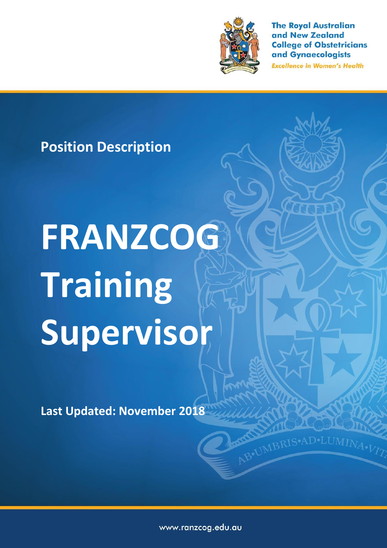

**The Royal Australian** and New Zealand **College of Obstetricians** and Gynaecologists

**Excellence in Women's Health** 

AB\*UMBRIS\*AD\*LUMINA.VT7

# **Position Description**

# **FRANZCOG Training Supervisor**

**Last Updated: November 2018**

www.ranzcog.edu.au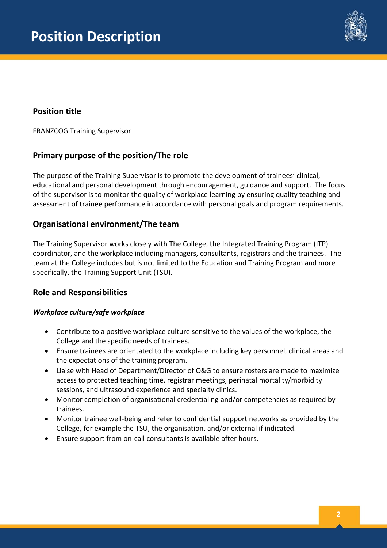

## **Position title**

FRANZCOG Training Supervisor

### **Primary purpose of the position/The role**

The purpose of the Training Supervisor is to promote the development of trainees' clinical, educational and personal development through encouragement, guidance and support. The focus of the supervisor is to monitor the quality of workplace learning by ensuring quality teaching and assessment of trainee performance in accordance with personal goals and program requirements.

#### **Organisational environment/The team**

The Training Supervisor works closely with The College, the Integrated Training Program (ITP) coordinator, and the workplace including managers, consultants, registrars and the trainees. The team at the College includes but is not limited to the Education and Training Program and more specifically, the Training Support Unit (TSU).

#### **Role and Responsibilities**

#### *Workplace culture/safe workplace*

- Contribute to a positive workplace culture sensitive to the values of the workplace, the College and the specific needs of trainees.
- Ensure trainees are orientated to the workplace including key personnel, clinical areas and the expectations of the training program.
- Liaise with Head of Department/Director of O&G to ensure rosters are made to maximize access to protected teaching time, registrar meetings, perinatal mortality/morbidity sessions, and ultrasound experience and specialty clinics.
- Monitor completion of organisational credentialing and/or competencies as required by trainees.
- Monitor trainee well-being and refer to confidential support networks as provided by the College, for example the TSU, the organisation, and/or external if indicated.
- Ensure support from on-call consultants is available after hours.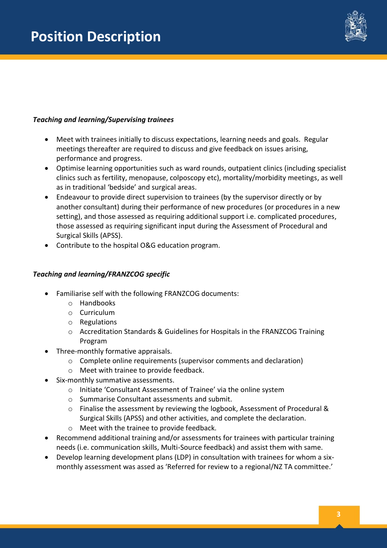

#### *Teaching and learning/Supervising trainees*

- Meet with trainees initially to discuss expectations, learning needs and goals. Regular meetings thereafter are required to discuss and give feedback on issues arising, performance and progress.
- Optimise learning opportunities such as ward rounds, outpatient clinics (including specialist clinics such as fertility, menopause, colposcopy etc), mortality/morbidity meetings, as well as in traditional 'bedside' and surgical areas.
- Endeavour to provide direct supervision to trainees (by the supervisor directly or by another consultant) during their performance of new procedures (or procedures in a new setting), and those assessed as requiring additional support i.e. complicated procedures, those assessed as requiring significant input during the Assessment of Procedural and Surgical Skills (APSS).
- Contribute to the hospital O&G education program.

#### *Teaching and learning/FRANZCOG specific*

- Familiarise self with the following FRANZCOG documents:
	- o Handbooks
	- o Curriculum
	- o Regulations
	- o Accreditation Standards & Guidelines for Hospitals in the FRANZCOG Training Program
- Three-monthly formative appraisals.
	- o Complete online requirements (supervisor comments and declaration)
	- o Meet with trainee to provide feedback.
- Six-monthly summative assessments.
	- o Initiate 'Consultant Assessment of Trainee' via the online system
	- o Summarise Consultant assessments and submit.
	- o Finalise the assessment by reviewing the logbook, Assessment of Procedural & Surgical Skills (APSS) and other activities, and complete the declaration.
	- o Meet with the trainee to provide feedback.
- Recommend additional training and/or assessments for trainees with particular training needs (i.e. communication skills, Multi-Source feedback) and assist them with same.
- Develop learning development plans (LDP) in consultation with trainees for whom a sixmonthly assessment was assed as 'Referred for review to a regional/NZ TA committee.'